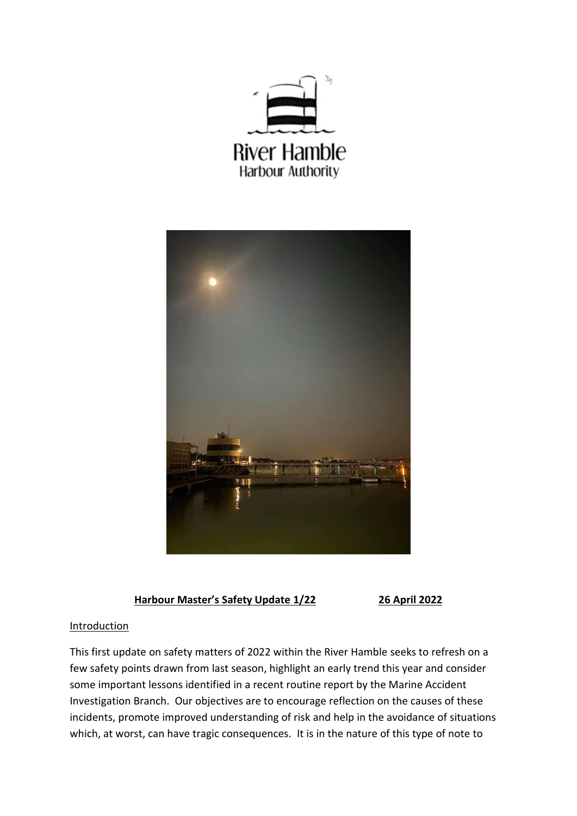



## **Harbour Master's Safety Update 1/22 26 April 2022**

## **Introduction**

This first update on safety matters of 2022 within the River Hamble seeks to refresh on a few safety points drawn from last season, highlight an early trend this year and consider some important lessons identified in a recent routine report by the Marine Accident Investigation Branch. Our objectives are to encourage reflection on the causes of these incidents, promote improved understanding of risk and help in the avoidance of situations which, at worst, can have tragic consequences. It is in the nature of this type of note to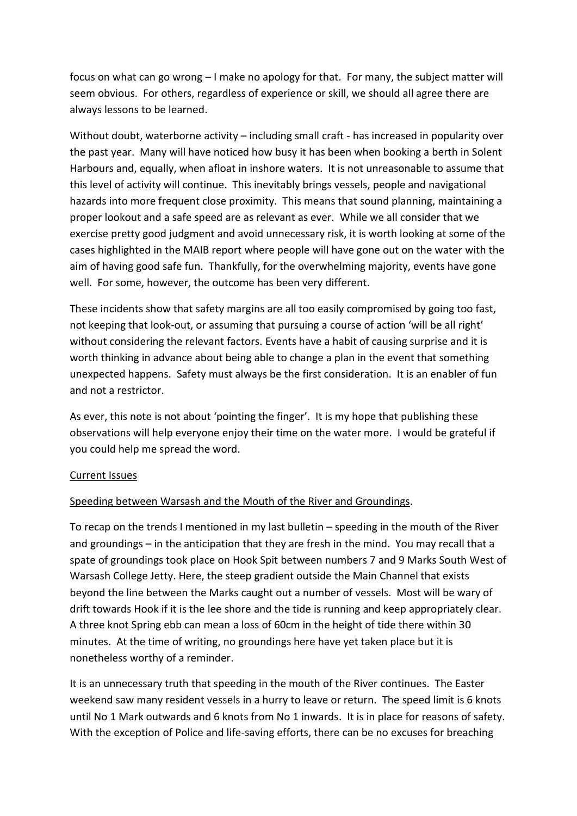focus on what can go wrong – I make no apology for that. For many, the subject matter will seem obvious. For others, regardless of experience or skill, we should all agree there are always lessons to be learned.

Without doubt, waterborne activity – including small craft - has increased in popularity over the past year. Many will have noticed how busy it has been when booking a berth in Solent Harbours and, equally, when afloat in inshore waters. It is not unreasonable to assume that this level of activity will continue. This inevitably brings vessels, people and navigational hazards into more frequent close proximity. This means that sound planning, maintaining a proper lookout and a safe speed are as relevant as ever. While we all consider that we exercise pretty good judgment and avoid unnecessary risk, it is worth looking at some of the cases highlighted in the MAIB report where people will have gone out on the water with the aim of having good safe fun. Thankfully, for the overwhelming majority, events have gone well. For some, however, the outcome has been very different.

These incidents show that safety margins are all too easily compromised by going too fast, not keeping that look-out, or assuming that pursuing a course of action 'will be all right' without considering the relevant factors. Events have a habit of causing surprise and it is worth thinking in advance about being able to change a plan in the event that something unexpected happens. Safety must always be the first consideration. It is an enabler of fun and not a restrictor.

As ever, this note is not about 'pointing the finger'. It is my hope that publishing these observations will help everyone enjoy their time on the water more. I would be grateful if you could help me spread the word.

## Current Issues

## Speeding between Warsash and the Mouth of the River and Groundings.

To recap on the trends I mentioned in my last bulletin – speeding in the mouth of the River and groundings – in the anticipation that they are fresh in the mind. You may recall that a spate of groundings took place on Hook Spit between numbers 7 and 9 Marks South West of Warsash College Jetty. Here, the steep gradient outside the Main Channel that exists beyond the line between the Marks caught out a number of vessels. Most will be wary of drift towards Hook if it is the lee shore and the tide is running and keep appropriately clear. A three knot Spring ebb can mean a loss of 60cm in the height of tide there within 30 minutes. At the time of writing, no groundings here have yet taken place but it is nonetheless worthy of a reminder.

It is an unnecessary truth that speeding in the mouth of the River continues. The Easter weekend saw many resident vessels in a hurry to leave or return. The speed limit is 6 knots until No 1 Mark outwards and 6 knots from No 1 inwards. It is in place for reasons of safety. With the exception of Police and life-saving efforts, there can be no excuses for breaching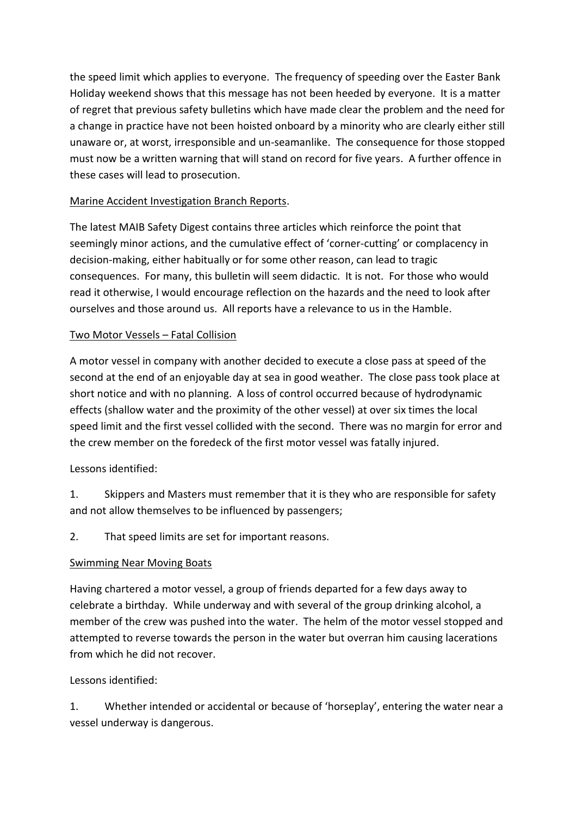the speed limit which applies to everyone. The frequency of speeding over the Easter Bank Holiday weekend shows that this message has not been heeded by everyone. It is a matter of regret that previous safety bulletins which have made clear the problem and the need for a change in practice have not been hoisted onboard by a minority who are clearly either still unaware or, at worst, irresponsible and un-seamanlike. The consequence for those stopped must now be a written warning that will stand on record for five years. A further offence in these cases will lead to prosecution.

# Marine Accident Investigation Branch Reports.

The latest MAIB Safety Digest contains three articles which reinforce the point that seemingly minor actions, and the cumulative effect of 'corner-cutting' or complacency in decision-making, either habitually or for some other reason, can lead to tragic consequences. For many, this bulletin will seem didactic. It is not. For those who would read it otherwise, I would encourage reflection on the hazards and the need to look after ourselves and those around us. All reports have a relevance to us in the Hamble.

## Two Motor Vessels – Fatal Collision

A motor vessel in company with another decided to execute a close pass at speed of the second at the end of an enjoyable day at sea in good weather. The close pass took place at short notice and with no planning. A loss of control occurred because of hydrodynamic effects (shallow water and the proximity of the other vessel) at over six times the local speed limit and the first vessel collided with the second. There was no margin for error and the crew member on the foredeck of the first motor vessel was fatally injured.

## Lessons identified:

1. Skippers and Masters must remember that it is they who are responsible for safety and not allow themselves to be influenced by passengers;

2. That speed limits are set for important reasons.

## Swimming Near Moving Boats

Having chartered a motor vessel, a group of friends departed for a few days away to celebrate a birthday. While underway and with several of the group drinking alcohol, a member of the crew was pushed into the water. The helm of the motor vessel stopped and attempted to reverse towards the person in the water but overran him causing lacerations from which he did not recover.

## Lessons identified:

1. Whether intended or accidental or because of 'horseplay', entering the water near a vessel underway is dangerous.